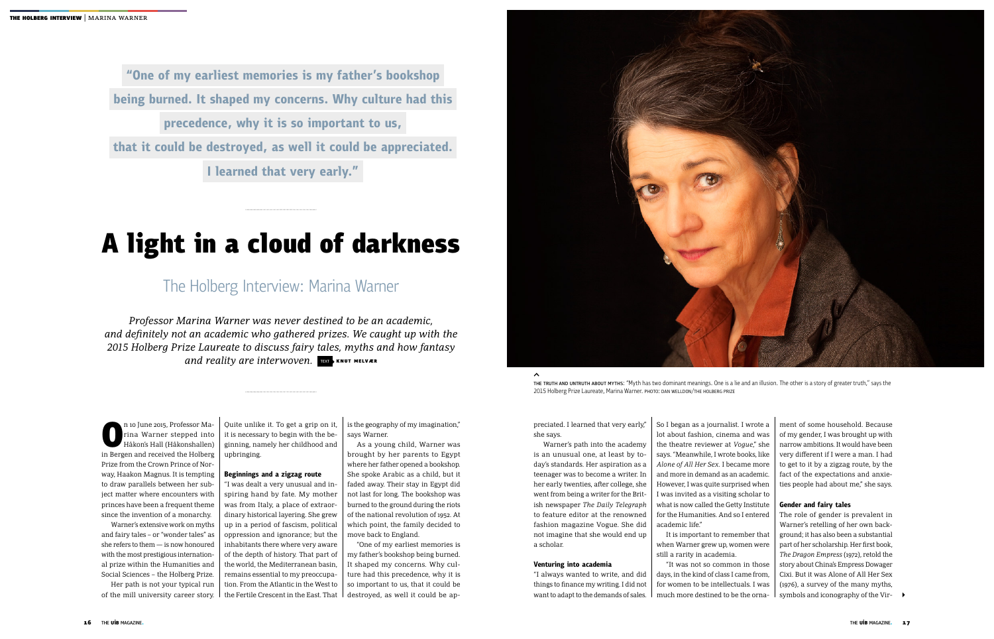THE TRUTH AND UNTRUTH ABOUT MYTHS: "Myth has two dominant meanings. One is a lie and an illusion. The other is a story of greater truth," says the 2015 Holberg Prize Laureate, Marina Warner. PHOTO: Dan Welldon/THE HOLBERG PRIZE

n 10 June 2015, Professor Marina Warner stepped into<br>Håkon's Hall (Håkonshallen)<br>in Bergen and received the Holberg rina Warner stepped into Håkon's Hall (Håkonshallen) in Bergen and received the Holberg Prize from the Crown Prince of Norway, Haakon Magnus. It is tempting to draw parallels between her subject matter where encounters with princes have been a frequent theme since the invention of a monarchy.

Warner's extensive work on myths and fairy tales – or "wonder tales" as she refers to them — is now honoured with the most prestigious international prize within the Humanities and Social Sciences – the Holberg Prize.

Her path is not your typical run of the mill university career story. preciated. I learned that very early," she says.

ment of some household. Because of my gender, I was brought up with narrow ambitions. It would have been very different if I were a man. I had to get to it by a zigzag route, by the fact of the expectations and anxieties people had about me," she says.

Warner's path into the academy is an unusual one, at least by today's standards. Her aspiration as a teenager was to become a writer. In her early twenties, after college, she went from being a writer for the British newspaper *The Daily Telegraph* to feature editor at the renowned fashion magazine Vogue. She did not imagine that she would end up a scholar.

The role of gender is prevalent in Warner's retelling of her own background; it has also been a substantial part of her scholarship. Her first book, *The Dragon Empress* (1972), retold the story about China's Empress Dowager Cixi. But it was Alone of All Her Sex (1976), a survey of the many myths, symbols and iconography of the Vir-

#### **Venturing into academia**

"I always wanted to write, and did things to finance my writing. I did not want to adapt to the demands of sales.

So I began as a journalist. I wrote a lot about fashion, cinema and was the theatre reviewer at *Vogue*," she says. "Meanwhile, I wrote books, like *Alone of All Her Sex.* I became more and more in demand as an academic. However, I was quite surprised when I was invited as a visiting scholar to what is now called the Getty Institute for the Humanities. And so I entered academic life."

It is important to remember that when Warner grew up, women were still a rarity in academia.

"It was not so common in those days, in the kind of class I came from, for women to be intellectuals. I was much more destined to be the orna-

*Professor Marina Warner was never destined to be an academic, and definitely not an academic who gathered prizes. We caught up with the 2015 Holberg Prize Laureate to discuss fairy tales, myths and how fantasy*  and reality are interwoven. TEXT KNUT MELVÆR

#### **Gender and fairy tales**

Quite unlike it. To get a grip on it, it is necessary to begin with the beginning, namely her childhood and upbringing.

#### **Beginnings and a zigzag route**

"I was dealt a very unusual and inspiring hand by fate. My mother was from Italy, a place of extraordinary historical layering. She grew up in a period of fascism, political oppression and ignorance; but the inhabitants there where very aware of the depth of history. That part of the world, the Mediterranean basin, remains essential to my preoccupation. From the Atlantic in the West to the Fertile Crescent in the East. That

is the geography of my imagination," says Warner.

As a young child, Warner was brought by her parents to Egypt where her father opened a bookshop. She spoke Arabic as a child, but it faded away. Their stay in Egypt did not last for long. The bookshop was burned to the ground during the riots of the national revolution of 1952. At which point, the family decided to move back to England.

"One of my earliest memories is my father's bookshop being burned. It shaped my concerns. Why culture had this precedence, why it is so important to us, that it could be destroyed, as well it could be ap-



# A light in a cloud of darkness

# The Holberg Interview: Marina Warner

**"One of my earliest memories is my father's bookshop being burned. It shaped my concerns. Why culture had this precedence, why it is so important to us, that it could be destroyed, as well it could be appreciated. I learned that very early."**